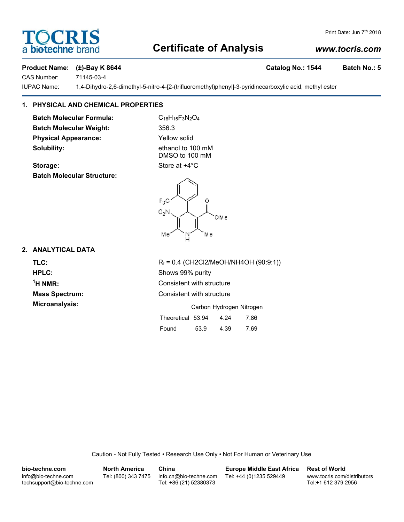## **Certificate of Analysis**

#### *www.tocris.com*

#### Product Name: (±)-Bay K 8644 **Catalog No.: 1544** Batch No.: 5

CAS Number: 71145-03-4

IUPAC Name: 1,4-Dihydro-2,6-dimethyl-5-nitro-4-[2-(trifluoromethyl)phenyl]-3-pyridinecarboxylic acid, methyl ester

### **1. PHYSICAL AND CHEMICAL PROPERTIES**

**Batch Molecular Formula:** C<sub>16</sub>H<sub>15</sub>F<sub>3</sub>N<sub>2</sub>O<sub>4</sub> **Batch Molecular Weight:** 356.3 **Physical Appearance:** Yellow solid **Solubility:** ethanol to 100 mM

DMSO to 100 mM

## **Storage:** Store at  $+4^{\circ}$ C **Batch Molecular Structure:**



<sup>1</sup>H NMR:

**TLC:** R<sub>f</sub> = 0.4 (CH2Cl2/MeOH/NH4OH (90:9:1)) **HPLC:** Shows 99% purity **Consistent with structure Mass Spectrum:** Consistent with structure **Microanalysis:** Microanalysis: **Carbon Hydrogen Nitrogen** 

| Theoretical 53.94 |      | 4.24 | 7.86 |
|-------------------|------|------|------|
| Found             | 53.9 | 4.39 | 7.69 |

Caution - Not Fully Tested • Research Use Only • Not For Human or Veterinary Use

| bio-techne.com                                    | <b>North America</b> | China                                            | <b>Europe Middle East Africa</b> | <b>Rest of World</b>                               |
|---------------------------------------------------|----------------------|--------------------------------------------------|----------------------------------|----------------------------------------------------|
| info@bio-techne.com<br>techsupport@bio-techne.com | Tel: (800) 343 7475  | info.cn@bio-techne.com<br>Tel: +86 (21) 52380373 | Tel: +44 (0)1235 529449          | www.tocris.com/distributors<br>Tel:+1 612 379 2956 |



╲

| $F_3C$<br>O <sub>2</sub> N | 0   |
|----------------------------|-----|
|                            | ОМе |
| Mе                         | Mе  |

Print Date: Jun 7<sup>th</sup> 2018